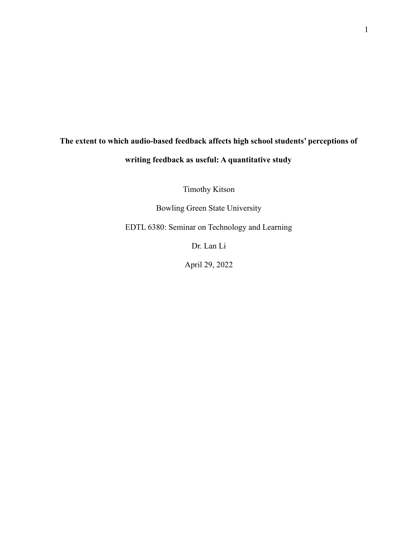# **The extent to which audio-based feedback affects high school students' perceptions of writing feedback as useful: A quantitative study**

Timothy Kitson

Bowling Green State University

EDTL 6380: Seminar on Technology and Learning

Dr. Lan Li

April 29, 2022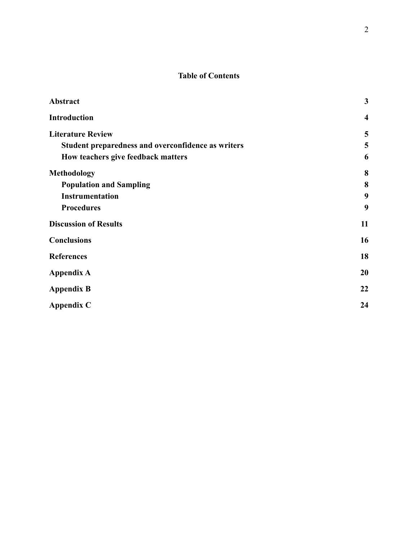## **Table of Contents**

| Abstract                                           | $\mathbf{3}$            |
|----------------------------------------------------|-------------------------|
| <b>Introduction</b>                                | $\overline{\mathbf{4}}$ |
| <b>Literature Review</b>                           | 5                       |
| Student preparedness and overconfidence as writers | 5                       |
| How teachers give feedback matters                 | 6                       |
| <b>Methodology</b>                                 | 8                       |
| <b>Population and Sampling</b>                     | 8                       |
| <b>Instrumentation</b>                             | 9                       |
| <b>Procedures</b>                                  | 9                       |
| <b>Discussion of Results</b>                       | 11                      |
| <b>Conclusions</b>                                 | 16                      |
| <b>References</b>                                  | 18                      |
| <b>Appendix A</b>                                  | 20                      |
| <b>Appendix B</b>                                  | 22                      |
| <b>Appendix C</b>                                  | 24                      |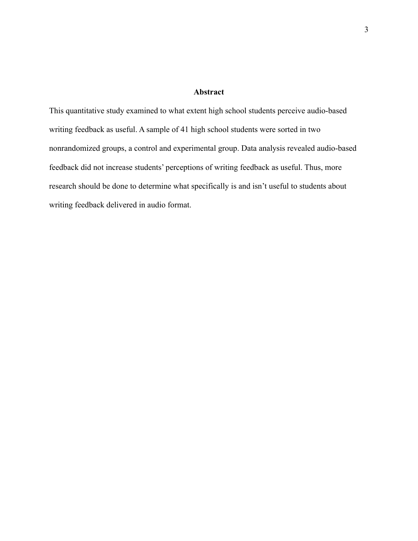## **Abstract**

<span id="page-2-0"></span>This quantitative study examined to what extent high school students perceive audio-based writing feedback as useful. A sample of 41 high school students were sorted in two nonrandomized groups, a control and experimental group. Data analysis revealed audio-based feedback did not increase students' perceptions of writing feedback as useful. Thus, more research should be done to determine what specifically is and isn't useful to students about writing feedback delivered in audio format.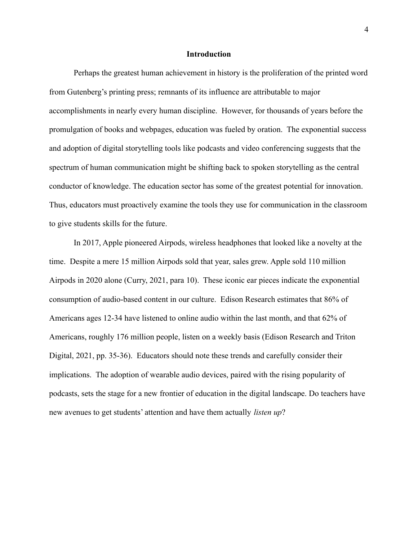### **Introduction**

<span id="page-3-0"></span>Perhaps the greatest human achievement in history is the proliferation of the printed word from Gutenberg's printing press; remnants of its influence are attributable to major accomplishments in nearly every human discipline. However, for thousands of years before the promulgation of books and webpages, education was fueled by oration. The exponential success and adoption of digital storytelling tools like podcasts and video conferencing suggests that the spectrum of human communication might be shifting back to spoken storytelling as the central conductor of knowledge. The education sector has some of the greatest potential for innovation. Thus, educators must proactively examine the tools they use for communication in the classroom to give students skills for the future.

In 2017, Apple pioneered Airpods, wireless headphones that looked like a novelty at the time. Despite a mere 15 million Airpods sold that year, sales grew. Apple sold 110 million Airpods in 2020 alone (Curry, 2021, para 10). These iconic ear pieces indicate the exponential consumption of audio-based content in our culture. Edison Research estimates that 86% of Americans ages 12-34 have listened to online audio within the last month, and that 62% of Americans, roughly 176 million people, listen on a weekly basis (Edison Research and Triton Digital, 2021, pp. 35-36). Educators should note these trends and carefully consider their implications. The adoption of wearable audio devices, paired with the rising popularity of podcasts, sets the stage for a new frontier of education in the digital landscape. Do teachers have new avenues to get students' attention and have them actually *listen up*?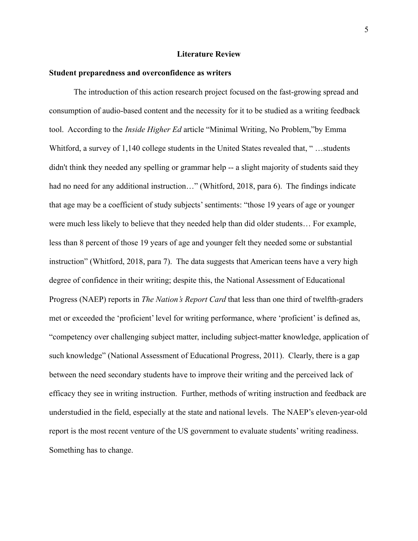## **Literature Review**

## <span id="page-4-1"></span><span id="page-4-0"></span>**Student preparedness and overconfidence as writers**

The introduction of this action research project focused on the fast-growing spread and consumption of audio-based content and the necessity for it to be studied as a writing feedback tool. According to the *Inside Higher Ed* article "Minimal Writing, No Problem,"by Emma Whitford, a survey of 1,140 college students in the United States revealed that, " …students didn't think they needed any spelling or grammar help -- a slight majority of students said they had no need for any additional instruction..." (Whitford, 2018, para 6). The findings indicate that age may be a coefficient of study subjects' sentiments: "those 19 years of age or younger were much less likely to believe that they needed help than did older students… For example, less than 8 percent of those 19 years of age and younger felt they needed some or substantial instruction" (Whitford, 2018, para 7). The data suggests that American teens have a very high degree of confidence in their writing; despite this, the National Assessment of Educational Progress (NAEP) reports in *The Nation's Report Card* that less than one third of twelfth-graders met or exceeded the 'proficient' level for writing performance, where 'proficient' is defined as, "competency over challenging subject matter, including subject-matter knowledge, application of such knowledge" (National Assessment of Educational Progress, 2011). Clearly, there is a gap between the need secondary students have to improve their writing and the perceived lack of efficacy they see in writing instruction. Further, methods of writing instruction and feedback are understudied in the field, especially at the state and national levels. The NAEP's eleven-year-old report is the most recent venture of the US government to evaluate students' writing readiness. Something has to change.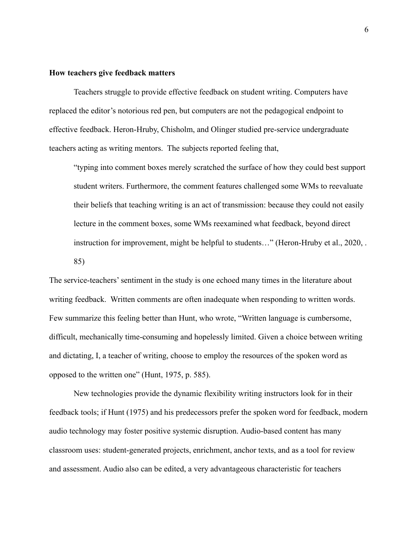## <span id="page-5-0"></span>**How teachers give feedback matters**

Teachers struggle to provide effective feedback on student writing. Computers have replaced the editor's notorious red pen, but computers are not the pedagogical endpoint to effective feedback. Heron-Hruby, Chisholm, and Olinger studied pre-service undergraduate teachers acting as writing mentors. The subjects reported feeling that,

"typing into comment boxes merely scratched the surface of how they could best support student writers. Furthermore, the comment features challenged some WMs to reevaluate their beliefs that teaching writing is an act of transmission: because they could not easily lecture in the comment boxes, some WMs reexamined what feedback, beyond direct instruction for improvement, might be helpful to students…" (Heron-Hruby et al., 2020, . 85)

The service-teachers' sentiment in the study is one echoed many times in the literature about writing feedback. Written comments are often inadequate when responding to written words. Few summarize this feeling better than Hunt, who wrote, "Written language is cumbersome, difficult, mechanically time-consuming and hopelessly limited. Given a choice between writing and dictating, I, a teacher of writing, choose to employ the resources of the spoken word as opposed to the written one" (Hunt, 1975, p. 585).

New technologies provide the dynamic flexibility writing instructors look for in their feedback tools; if Hunt (1975) and his predecessors prefer the spoken word for feedback, modern audio technology may foster positive systemic disruption. Audio-based content has many classroom uses: student-generated projects, enrichment, anchor texts, and as a tool for review and assessment. Audio also can be edited, a very advantageous characteristic for teachers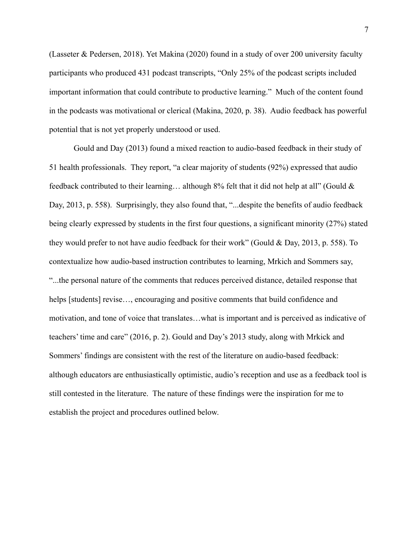(Lasseter & Pedersen, 2018). Yet Makina (2020) found in a study of over 200 university faculty participants who produced 431 podcast transcripts, "Only 25% of the podcast scripts included important information that could contribute to productive learning." Much of the content found in the podcasts was motivational or clerical (Makina, 2020, p. 38). Audio feedback has powerful potential that is not yet properly understood or used.

Gould and Day (2013) found a mixed reaction to audio-based feedback in their study of 51 health professionals. They report, "a clear majority of students (92%) expressed that audio feedback contributed to their learning… although 8% felt that it did not help at all" (Gould & Day, 2013, p. 558). Surprisingly, they also found that, "... despite the benefits of audio feedback being clearly expressed by students in the first four questions, a significant minority (27%) stated they would prefer to not have audio feedback for their work" (Gould & Day, 2013, p. 558). To contextualize how audio-based instruction contributes to learning, Mrkich and Sommers say, "...the personal nature of the comments that reduces perceived distance, detailed response that helps [students] revise…, encouraging and positive comments that build confidence and motivation, and tone of voice that translates…what is important and is perceived as indicative of teachers' time and care" (2016, p. 2). Gould and Day's 2013 study, along with Mrkick and Sommers' findings are consistent with the rest of the literature on audio-based feedback: although educators are enthusiastically optimistic, audio's reception and use as a feedback tool is still contested in the literature. The nature of these findings were the inspiration for me to establish the project and procedures outlined below.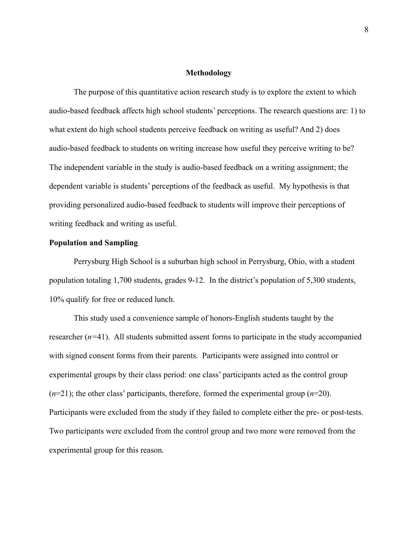## **Methodology**

<span id="page-7-0"></span>The purpose of this quantitative action research study is to explore the extent to which audio-based feedback affects high school students' perceptions. The research questions are: 1) to what extent do high school students perceive feedback on writing as useful? And 2) does audio-based feedback to students on writing increase how useful they perceive writing to be? The independent variable in the study is audio-based feedback on a writing assignment; the dependent variable is students' perceptions of the feedback as useful. My hypothesis is that providing personalized audio-based feedback to students will improve their perceptions of writing feedback and writing as useful.

## <span id="page-7-1"></span>**Population and Sampling**

Perrysburg High School is a suburban high school in Perrysburg, Ohio, with a student population totaling 1,700 students, grades 9-12. In the district's population of 5,300 students, 10% qualify for free or reduced lunch.

This study used a convenience sample of honors-English students taught by the researcher (*n=*41). All students submitted assent forms to participate in the study accompanied with signed consent forms from their parents. Participants were assigned into control or experimental groups by their class period: one class' participants acted as the control group (*n*=21); the other class' participants, therefore, formed the experimental group (*n*=20). Participants were excluded from the study if they failed to complete either the pre- or post-tests. Two participants were excluded from the control group and two more were removed from the experimental group for this reason.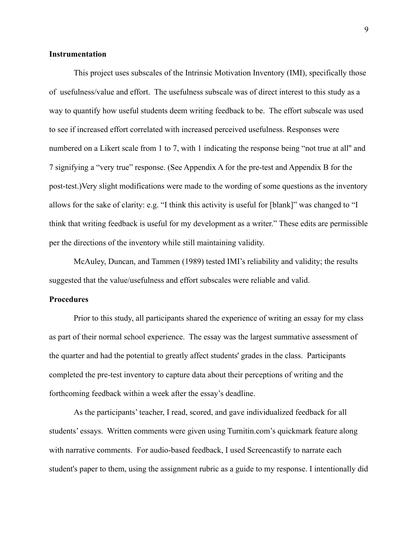## <span id="page-8-0"></span>**Instrumentation**

This project uses subscales of the Intrinsic Motivation Inventory (IMI), specifically those of usefulness/value and effort. The usefulness subscale was of direct interest to this study as a way to quantify how useful students deem writing feedback to be. The effort subscale was used to see if increased effort correlated with increased perceived usefulness. Responses were numbered on a Likert scale from 1 to 7, with 1 indicating the response being "not true at all'' and 7 signifying a "very true" response. (See Appendix A for the pre-test and Appendix B for the post-test.)Very slight modifications were made to the wording of some questions as the inventory allows for the sake of clarity: e.g. "I think this activity is useful for [blank]" was changed to "I think that writing feedback is useful for my development as a writer." These edits are permissible per the directions of the inventory while still maintaining validity.

McAuley, Duncan, and Tammen (1989) tested IMI's reliability and validity; the results suggested that the value/usefulness and effort subscales were reliable and valid.

## <span id="page-8-1"></span>**Procedures**

Prior to this study, all participants shared the experience of writing an essay for my class as part of their normal school experience. The essay was the largest summative assessment of the quarter and had the potential to greatly affect students' grades in the class. Participants completed the pre-test inventory to capture data about their perceptions of writing and the forthcoming feedback within a week after the essay's deadline.

As the participants' teacher, I read, scored, and gave individualized feedback for all students' essays. Written comments were given using Turnitin.com's quickmark feature along with narrative comments. For audio-based feedback, I used Screencastify to narrate each student's paper to them, using the assignment rubric as a guide to my response. I intentionally did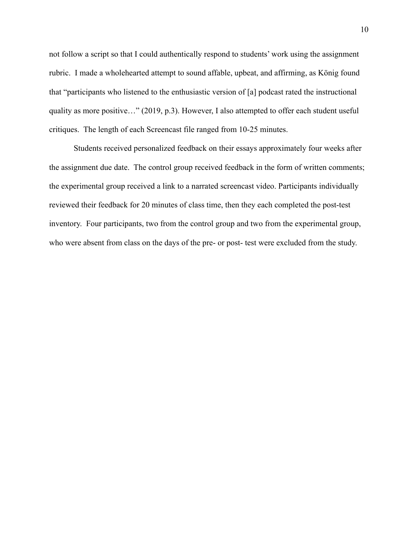not follow a script so that I could authentically respond to students' work using the assignment rubric. I made a wholehearted attempt to sound affable, upbeat, and affirming, as König found that "participants who listened to the enthusiastic version of [a] podcast rated the instructional quality as more positive…" (2019, p.3). However, I also attempted to offer each student useful critiques. The length of each Screencast file ranged from 10-25 minutes.

Students received personalized feedback on their essays approximately four weeks after the assignment due date. The control group received feedback in the form of written comments; the experimental group received a link to a narrated screencast video. Participants individually reviewed their feedback for 20 minutes of class time, then they each completed the post-test inventory. Four participants, two from the control group and two from the experimental group, who were absent from class on the days of the pre- or post- test were excluded from the study.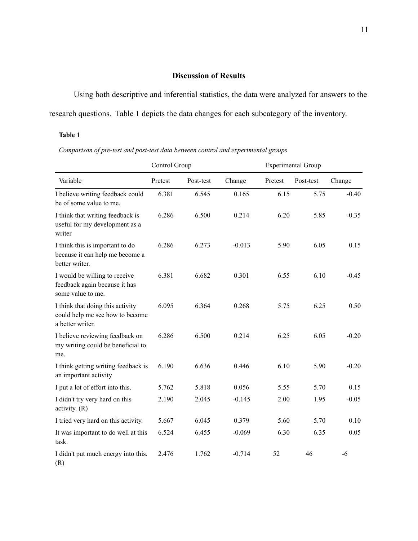## **Discussion of Results**

<span id="page-10-0"></span>Using both descriptive and inferential statistics, the data were analyzed for answers to the research questions. Table 1 depicts the data changes for each subcategory of the inventory.

#### **Table 1**

*Comparison of pre-test and post-test data between control and experimental groups*

|                                                                                         | Control Group |           |          |         | <b>Experimental Group</b> |         |  |
|-----------------------------------------------------------------------------------------|---------------|-----------|----------|---------|---------------------------|---------|--|
| Variable                                                                                | Pretest       | Post-test | Change   | Pretest | Post-test                 | Change  |  |
| I believe writing feedback could<br>be of some value to me.                             | 6.381         | 6.545     | 0.165    | 6.15    | 5.75                      | $-0.40$ |  |
| I think that writing feedback is<br>useful for my development as a<br>writer            | 6.286         | 6.500     | 0.214    | 6.20    | 5.85                      | $-0.35$ |  |
| I think this is important to do<br>because it can help me become a<br>better writer.    | 6.286         | 6.273     | $-0.013$ | 5.90    | 6.05                      | 0.15    |  |
| I would be willing to receive<br>feedback again because it has<br>some value to me.     | 6.381         | 6.682     | 0.301    | 6.55    | 6.10                      | $-0.45$ |  |
| I think that doing this activity<br>could help me see how to become<br>a better writer. | 6.095         | 6.364     | 0.268    | 5.75    | 6.25                      | 0.50    |  |
| I believe reviewing feedback on<br>my writing could be beneficial to<br>me.             | 6.286         | 6.500     | 0.214    | 6.25    | 6.05                      | $-0.20$ |  |
| I think getting writing feedback is<br>an important activity                            | 6.190         | 6.636     | 0.446    | 6.10    | 5.90                      | $-0.20$ |  |
| I put a lot of effort into this.                                                        | 5.762         | 5.818     | 0.056    | 5.55    | 5.70                      | 0.15    |  |
| I didn't try very hard on this<br>activity. $(R)$                                       | 2.190         | 2.045     | $-0.145$ | 2.00    | 1.95                      | $-0.05$ |  |
| I tried very hard on this activity.                                                     | 5.667         | 6.045     | 0.379    | 5.60    | 5.70                      | 0.10    |  |
| It was important to do well at this<br>task.                                            | 6.524         | 6.455     | $-0.069$ | 6.30    | 6.35                      | 0.05    |  |
| I didn't put much energy into this.<br>(R)                                              | 2.476         | 1.762     | $-0.714$ | 52      | 46                        | $-6$    |  |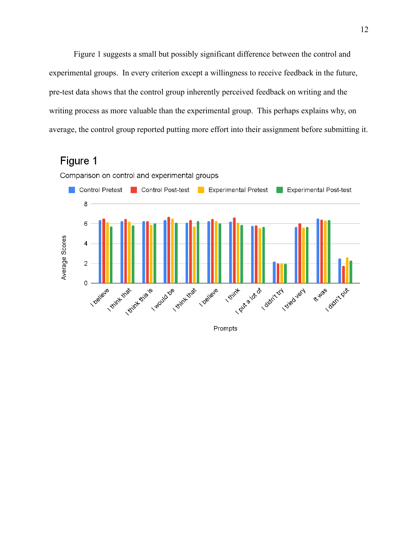Figure 1 suggests a small but possibly significant difference between the control and experimental groups. In every criterion except a willingness to receive feedback in the future, pre-test data shows that the control group inherently perceived feedback on writing and the writing process as more valuable than the experimental group. This perhaps explains why, on average, the control group reported putting more effort into their assignment before submitting it.

## Figure 1



Prompts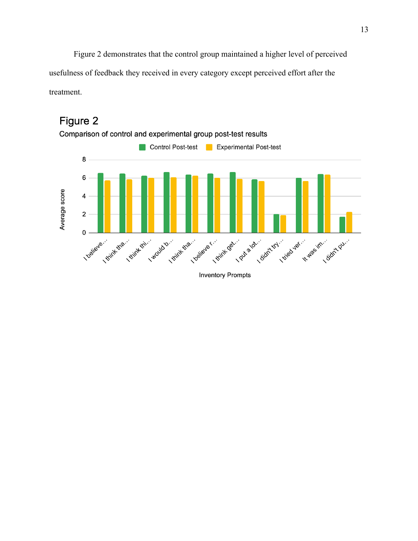Figure 2 demonstrates that the control group maintained a higher level of perceived usefulness of feedback they received in every category except perceived effort after the treatment.



# Figure 2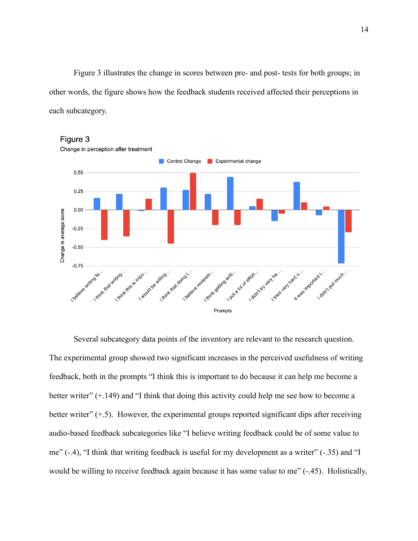Figure 3 illustrates the change in scores between pre- and post- tests for both groups; in other words, the figure shows how the feedback students received affected their perceptions in each subcategory.



Several subcategory data points of the inventory are relevant to the research question. The experimental group showed two significant increases in the perceived usefulness of writing feedback, both in the prompts "I think this is important to do because it can help me become a better writer" (+.149) and "I think that doing this activity could help me see how to become a better writer" (+.5). However, the experimental groups reported significant dips after receiving audio-based feedback subcategories like "I believe writing feedback could be of some value to me" (-.4), "I think that writing feedback is useful for my development as a writer" (-.35) and "I would be willing to receive feedback again because it has some value to me"  $(-.45)$ . Holistically,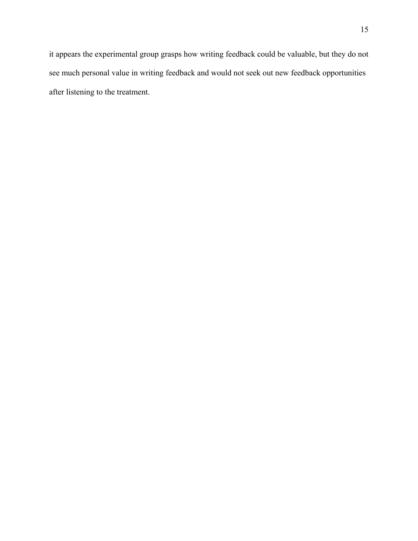it appears the experimental group grasps how writing feedback could be valuable, but they do not see much personal value in writing feedback and would not seek out new feedback opportunities after listening to the treatment.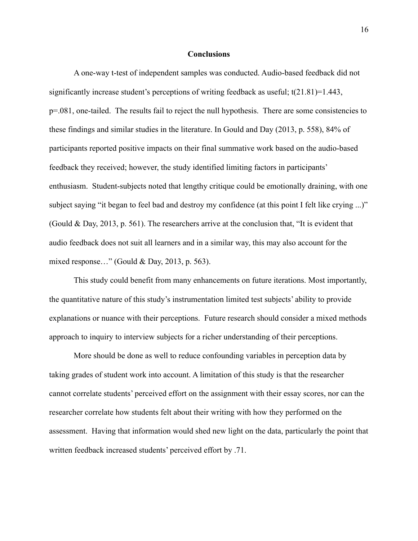### **Conclusions**

<span id="page-15-0"></span>A one-way t-test of independent samples was conducted. Audio-based feedback did not significantly increase student's perceptions of writing feedback as useful; t(21.81)=1.443, p=.081, one-tailed. The results fail to reject the null hypothesis. There are some consistencies to these findings and similar studies in the literature. In Gould and Day (2013, p. 558), 84% of participants reported positive impacts on their final summative work based on the audio-based feedback they received; however, the study identified limiting factors in participants' enthusiasm. Student-subjects noted that lengthy critique could be emotionally draining, with one subject saying "it began to feel bad and destroy my confidence (at this point I felt like crying ...)" (Gould & Day, 2013, p. 561). The researchers arrive at the conclusion that, "It is evident that audio feedback does not suit all learners and in a similar way, this may also account for the mixed response…" (Gould & Day, 2013, p. 563).

This study could benefit from many enhancements on future iterations. Most importantly, the quantitative nature of this study's instrumentation limited test subjects' ability to provide explanations or nuance with their perceptions. Future research should consider a mixed methods approach to inquiry to interview subjects for a richer understanding of their perceptions.

More should be done as well to reduce confounding variables in perception data by taking grades of student work into account. A limitation of this study is that the researcher cannot correlate students' perceived effort on the assignment with their essay scores, nor can the researcher correlate how students felt about their writing with how they performed on the assessment. Having that information would shed new light on the data, particularly the point that written feedback increased students' perceived effort by .71.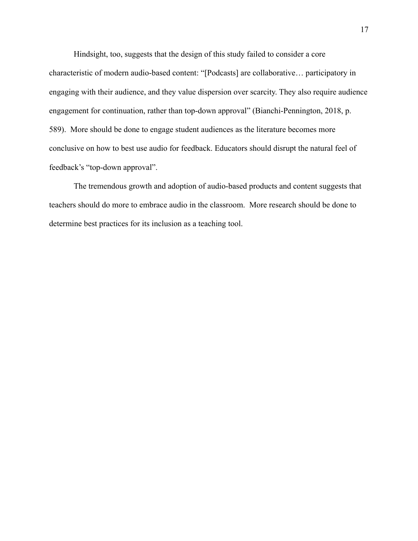Hindsight, too, suggests that the design of this study failed to consider a core characteristic of modern audio-based content: "[Podcasts] are collaborative… participatory in engaging with their audience, and they value dispersion over scarcity. They also require audience engagement for continuation, rather than top-down approval" (Bianchi-Pennington, 2018, p. 589). More should be done to engage student audiences as the literature becomes more conclusive on how to best use audio for feedback. Educators should disrupt the natural feel of feedback's "top-down approval".

The tremendous growth and adoption of audio-based products and content suggests that teachers should do more to embrace audio in the classroom. More research should be done to determine best practices for its inclusion as a teaching tool.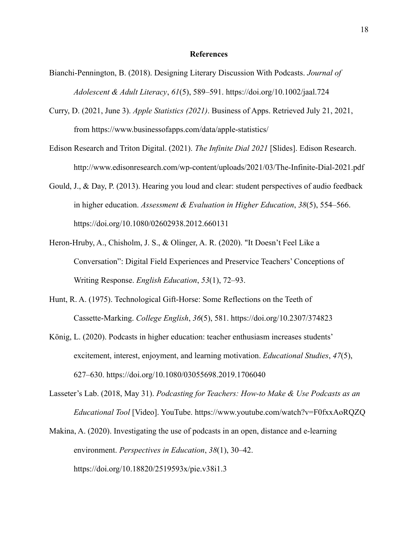### **References**

- <span id="page-17-0"></span>Bianchi-Pennington, B. (2018). Designing Literary Discussion With Podcasts. *Journal of Adolescent & Adult Literacy*, *61*(5), 589–591. https://doi.org/10.1002/jaal.724
- Curry, D. (2021, June 3). *Apple Statistics (2021)*. Business of Apps. Retrieved July 21, 2021, from https://www.businessofapps.com/data/apple-statistics/
- Edison Research and Triton Digital. (2021). *The Infinite Dial 2021* [Slides]. Edison Research. http://www.edisonresearch.com/wp-content/uploads/2021/03/The-Infinite-Dial-2021.pdf
- Gould, J., & Day, P. (2013). Hearing you loud and clear: student perspectives of audio feedback in higher education. *Assessment & Evaluation in Higher Education*, *38*(5), 554–566. https://doi.org/10.1080/02602938.2012.660131
- Heron-Hruby, A., Chisholm, J. S., & Olinger, A. R. (2020). "It Doesn't Feel Like a Conversation": Digital Field Experiences and Preservice Teachers' Conceptions of Writing Response. *English Education*, *53*(1), 72–93.
- Hunt, R. A. (1975). Technological Gift-Horse: Some Reflections on the Teeth of Cassette-Marking. *College English*, *36*(5), 581. https://doi.org/10.2307/374823
- König, L. (2020). Podcasts in higher education: teacher enthusiasm increases students' excitement, interest, enjoyment, and learning motivation. *Educational Studies*, *47*(5), 627–630. https://doi.org/10.1080/03055698.2019.1706040
- Lasseter's Lab. (2018, May 31). *Podcasting for Teachers: How-to Make & Use Podcasts as an Educational Tool* [Video]. YouTube. https://www.youtube.com/watch?v=F0fxxAoRQZQ
- Makina, A. (2020). Investigating the use of podcasts in an open, distance and e-learning environment. *Perspectives in Education*, *38*(1), 30–42. https://doi.org/10.18820/2519593x/pie.v38i1.3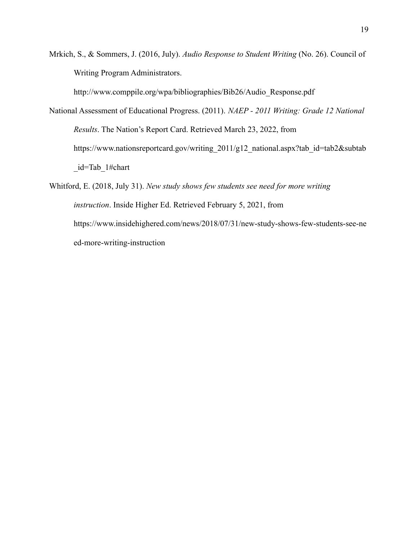Mrkich, S., & Sommers, J. (2016, July). *Audio Response to Student Writing* (No. 26). Council of Writing Program Administrators.

http://www.comppile.org/wpa/bibliographies/Bib26/Audio\_Response.pdf

National Assessment of Educational Progress. (2011). *NAEP - 2011 Writing: Grade 12 National Results*. The Nation's Report Card. Retrieved March 23, 2022, from https://www.nationsreportcard.gov/writing\_2011/g12\_national.aspx?tab\_id=tab2&subtab \_id=Tab\_1#chart

Whitford, E. (2018, July 31). *New study shows few students see need for more writing instruction*. Inside Higher Ed. Retrieved February 5, 2021, from https://www.insidehighered.com/news/2018/07/31/new-study-shows-few-students-see-ne ed-more-writing-instruction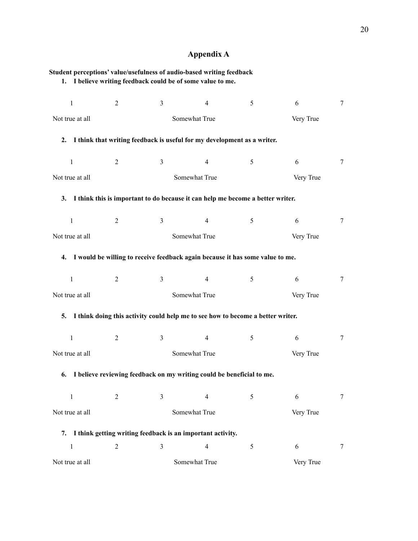## **Appendix A**

<span id="page-19-0"></span>

| Student perceptions' value/usefulness of audio-based writing feedback |                |                            | 1. I believe writing feedback could be of some value to me.                        |   |           |        |
|-----------------------------------------------------------------------|----------------|----------------------------|------------------------------------------------------------------------------------|---|-----------|--------|
| $\mathbf{1}$                                                          | $\overline{2}$ | $\overline{3}$             | $\overline{4}$                                                                     | 5 | 6         | $\tau$ |
| Not true at all                                                       |                | Somewhat True<br>Very True |                                                                                    |   |           |        |
|                                                                       |                |                            | 2. I think that writing feedback is useful for my development as a writer.         |   |           |        |
| $\mathbf{1}$                                                          | $\overline{2}$ | $\mathfrak{Z}$             | 4                                                                                  | 5 | 6         | $\tau$ |
| Not true at all                                                       |                |                            | Somewhat True                                                                      |   | Very True |        |
|                                                                       |                |                            | 3. I think this is important to do because it can help me become a better writer.  |   |           |        |
| $\mathbf{1}$                                                          | $\overline{2}$ | $\mathfrak{Z}$             | $\overline{4}$                                                                     | 5 | 6         | 7      |
| Not true at all                                                       |                |                            | Somewhat True                                                                      |   | Very True |        |
|                                                                       |                |                            | 4. I would be willing to receive feedback again because it has some value to me.   |   |           |        |
| $\mathbf{1}$                                                          | 2              | $\mathfrak{Z}$             | $\overline{4}$                                                                     | 5 | 6         | $\tau$ |
| Not true at all                                                       |                |                            | Somewhat True                                                                      |   | Very True |        |
|                                                                       |                |                            | 5. I think doing this activity could help me to see how to become a better writer. |   |           |        |
| $\mathbf{1}$                                                          | 2              | 3                          | 4                                                                                  | 5 | 6         | 7      |
| Not true at all                                                       |                |                            | Somewhat True                                                                      |   | Very True |        |
|                                                                       |                |                            | 6. I believe reviewing feedback on my writing could be beneficial to me.           |   |           |        |
| $\mathbf{1}$                                                          | $\overline{2}$ | 3                          | 4                                                                                  | 5 | 6         | 7      |
| Not true at all                                                       |                |                            | Somewhat True                                                                      |   | Very True |        |
|                                                                       |                |                            | 7. I think getting writing feedback is an important activity.                      |   |           |        |
| $\mathbf{1}$                                                          | $\sqrt{2}$     | $\mathfrak{Z}$             | $\overline{4}$                                                                     | 5 | 6         | 7      |
| Not true at all                                                       |                |                            | Somewhat True                                                                      |   | Very True |        |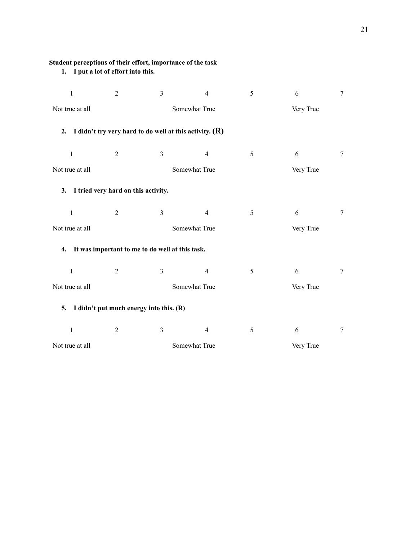| 1. I put a lot of effort into this. |                                     |                                                           |                |   |           |                |
|-------------------------------------|-------------------------------------|-----------------------------------------------------------|----------------|---|-----------|----------------|
| $\mathbf{1}$                        | $\overline{2}$                      | $\overline{3}$                                            | $\overline{4}$ | 5 | 6         | $\overline{7}$ |
| Not true at all                     |                                     |                                                           | Somewhat True  |   | Very True |                |
| 2.                                  |                                     | I didn't try very hard to do well at this activity. $(R)$ |                |   |           |                |
| $\mathbf{1}$                        | $\sqrt{2}$                          | $\overline{3}$                                            | $\overline{4}$ | 5 | 6         | $\tau$         |
| Not true at all                     |                                     |                                                           | Somewhat True  |   | Very True |                |
| 3.                                  | I tried very hard on this activity. |                                                           |                |   |           |                |
| $\mathbf{1}$                        | $\overline{2}$                      | $\overline{3}$                                            | $\overline{4}$ | 5 | 6         | $\tau$         |
| Not true at all                     |                                     |                                                           | Somewhat True  |   | Very True |                |
|                                     |                                     | 4. It was important to me to do well at this task.        |                |   |           |                |
| $\mathbf{1}$                        | $\overline{2}$                      | $\overline{3}$                                            | $\overline{4}$ | 5 | 6         | $\tau$         |
| Not true at all                     |                                     |                                                           | Somewhat True  |   | Very True |                |
| 5.                                  |                                     | I didn't put much energy into this. (R)                   |                |   |           |                |
| $\,1\,$                             | $\overline{2}$                      | 3                                                         | $\overline{4}$ | 5 | 6         | $\tau$         |
| Not true at all                     |                                     |                                                           | Somewhat True  |   | Very True |                |

**Student perceptions of their effort, importance of the task**

21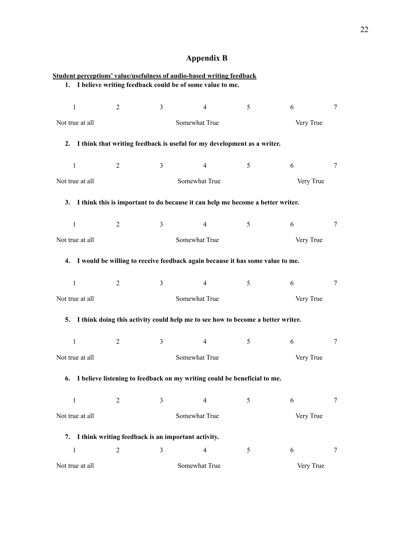# **Appendix B**

<span id="page-21-0"></span>

| Student perceptions' value/usefulness of audio-based writing feedback |                |                                                                                   |                            |                |           |                 |
|-----------------------------------------------------------------------|----------------|-----------------------------------------------------------------------------------|----------------------------|----------------|-----------|-----------------|
|                                                                       |                | 1. I believe writing feedback could be of some value to me.                       |                            |                |           |                 |
| $\mathbf{1}$                                                          | $\overline{2}$ | $\mathfrak{Z}$                                                                    | $\overline{4}$             | 5              | 6         | $\tau$          |
| Not true at all                                                       |                |                                                                                   | Somewhat True<br>Very True |                |           |                 |
|                                                                       |                | 2. I think that writing feedback is useful for my development as a writer.        |                            |                |           |                 |
|                                                                       |                |                                                                                   |                            |                |           |                 |
| $\mathbf{1}$                                                          | $\overline{2}$ | $\mathfrak{Z}$                                                                    | $\overline{4}$             | 5 <sup>5</sup> | 6         | 7               |
| Not true at all                                                       |                |                                                                                   | Somewhat True              |                | Very True |                 |
|                                                                       |                | 3. I think this is important to do because it can help me become a better writer. |                            |                |           |                 |
| $\mathbf{1}$                                                          | $\overline{2}$ | $\mathbf{3}$                                                                      | $\overline{4}$             | 5 <sup>5</sup> | 6         | $7\phantom{.0}$ |
| Not true at all                                                       |                |                                                                                   | Somewhat True              |                | Very True |                 |
|                                                                       |                | 4. I would be willing to receive feedback again because it has some value to me.  |                            |                |           |                 |
| $\mathbf{1}$                                                          | $\overline{2}$ | 3                                                                                 | 4                          | 5              | 6         | $7\phantom{.0}$ |
| Not true at all                                                       |                | Somewhat True<br>Very True                                                        |                            |                |           |                 |
| 5.                                                                    |                | I think doing this activity could help me to see how to become a better writer.   |                            |                |           |                 |
|                                                                       |                |                                                                                   |                            |                |           |                 |
| $\mathbf{1}$                                                          | $\overline{2}$ | 3                                                                                 | $\overline{4}$             | 5              | 6         | 7               |
| Not true at all                                                       |                |                                                                                   | Somewhat True              |                | Very True |                 |
|                                                                       |                | 6. I believe listening to feedback on my writing could be beneficial to me.       |                            |                |           |                 |
| $\,1$                                                                 | $\overline{2}$ | 3                                                                                 | $\overline{4}$             | 5              | 6         | 7               |
| Not true at all                                                       |                | Somewhat True<br>Very True                                                        |                            |                |           |                 |
|                                                                       |                | 7. I think writing feedback is an important activity.                             |                            |                |           |                 |
| $\mathbf{1}$                                                          | $\overline{2}$ | 3                                                                                 | $\overline{4}$             | 5              | 6         | 7               |
| Not true at all                                                       |                |                                                                                   | Somewhat True              |                | Very True |                 |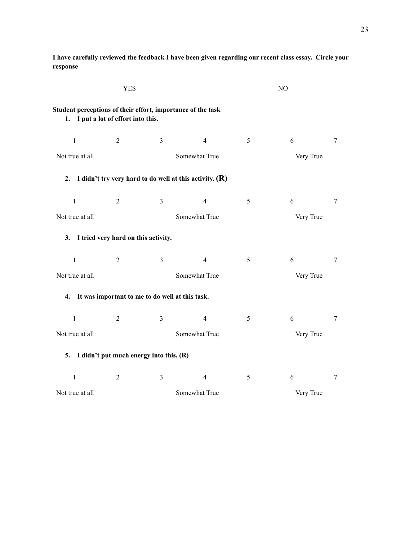|                                                                                                    | <b>YES</b>     |                                                           |               |   | NO        |        |
|----------------------------------------------------------------------------------------------------|----------------|-----------------------------------------------------------|---------------|---|-----------|--------|
| Student perceptions of their effort, importance of the task<br>1. I put a lot of effort into this. |                |                                                           |               |   |           |        |
| $\mathbf{1}$                                                                                       | $\overline{2}$ | $\mathfrak{Z}$                                            | 4             | 5 | 6         | 7      |
| Not true at all                                                                                    |                |                                                           | Somewhat True |   | Very True |        |
| 2.                                                                                                 |                | I didn't try very hard to do well at this activity. $(R)$ |               |   |           |        |
| $\mathbf{1}$                                                                                       | $\overline{2}$ | $\mathfrak{Z}$                                            | 4             | 5 | 6         | 7      |
| Not true at all                                                                                    |                |                                                           | Somewhat True |   | Very True |        |
| 3. I tried very hard on this activity.                                                             |                |                                                           |               |   |           |        |
| $\mathbf{1}$                                                                                       | 2              | $\overline{3}$                                            | 4             | 5 | 6         | $\tau$ |
| Not true at all                                                                                    |                | Somewhat True<br>Very True                                |               |   |           |        |
|                                                                                                    |                | 4. It was important to me to do well at this task.        |               |   |           |        |
| $\mathbf{1}$                                                                                       | 2              | $\mathfrak{Z}$                                            | 4             | 5 | 6         | 7      |
| Not true at all                                                                                    |                |                                                           | Somewhat True |   | Very True |        |
| 5.                                                                                                 |                | I didn't put much energy into this. (R)                   |               |   |           |        |
| $\mathbf{1}$                                                                                       | 2              | $\overline{3}$                                            | 4             | 5 | 6         | 7      |
| Not true at all                                                                                    |                |                                                           | Somewhat True |   | Very True |        |

**I have carefully reviewed the feedback I have been given regarding our recent class essay. Circle your response**